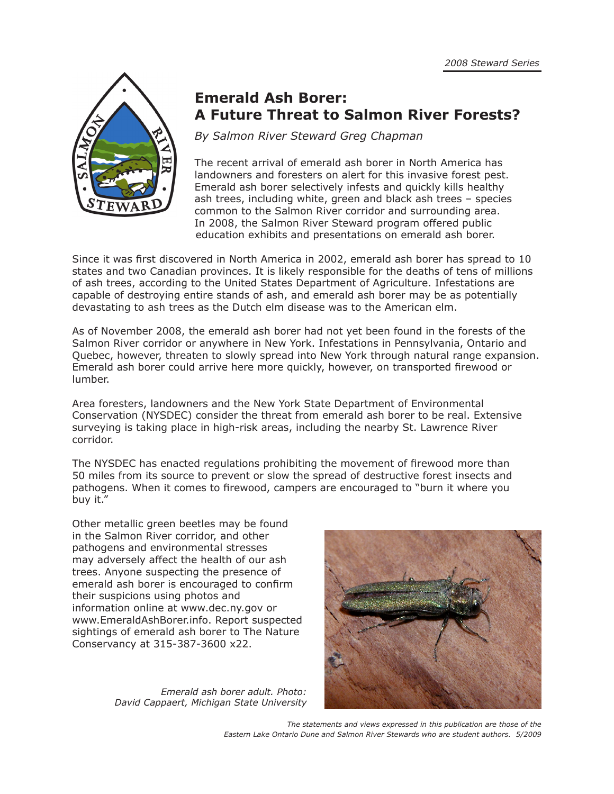

## **Emerald Ash Borer: A Future Threat to Salmon River Forests?**

*By Salmon River Steward Greg Chapman*

The recent arrival of emerald ash borer in North America has landowners and foresters on alert for this invasive forest pest. Emerald ash borer selectively infests and quickly kills healthy ash trees, including white, green and black ash trees – species common to the Salmon River corridor and surrounding area. In 2008, the Salmon River Steward program offered public education exhibits and presentations on emerald ash borer.

Since it was first discovered in North America in 2002, emerald ash borer has spread to 10 states and two Canadian provinces. It is likely responsible for the deaths of tens of millions of ash trees, according to the United States Department of Agriculture. Infestations are capable of destroying entire stands of ash, and emerald ash borer may be as potentially devastating to ash trees as the Dutch elm disease was to the American elm.

As of November 2008, the emerald ash borer had not yet been found in the forests of the Salmon River corridor or anywhere in New York. Infestations in Pennsylvania, Ontario and Quebec, however, threaten to slowly spread into New York through natural range expansion. Emerald ash borer could arrive here more quickly, however, on transported firewood or lumber.

Area foresters, landowners and the New York State Department of Environmental Conservation (NYSDEC) consider the threat from emerald ash borer to be real. Extensive surveying is taking place in high-risk areas, including the nearby St. Lawrence River corridor.

The NYSDEC has enacted regulations prohibiting the movement of firewood more than 50 miles from its source to prevent or slow the spread of destructive forest insects and pathogens. When it comes to firewood, campers are encouraged to "burn it where you buy it."

Other metallic green beetles may be found in the Salmon River corridor, and other pathogens and environmental stresses may adversely affect the health of our ash trees. Anyone suspecting the presence of emerald ash borer is encouraged to confirm their suspicions using photos and information online at www.dec.ny.gov or www.EmeraldAshBorer.info. Report suspected sightings of emerald ash borer to The Nature Conservancy at 315-387-3600 x22.

> *Emerald ash borer adult. Photo: David Cappaert, Michigan State University*



*The statements and views expressed in this publication are those of the Eastern Lake Ontario Dune and Salmon River Stewards who are student authors. 5/2009*